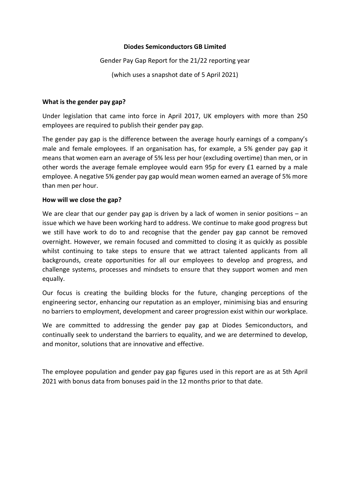#### **Diodes Semiconductors GB Limited**

Gender Pay Gap Report for the 21/22 reporting year

(which uses a snapshot date of 5 April 2021)

#### **What is the gender pay gap?**

Under legislation that came into force in April 2017, UK employers with more than 250 employees are required to publish their gender pay gap.

The gender pay gap is the difference between the average hourly earnings of a company's male and female employees. If an organisation has, for example, a 5% gender pay gap it means that women earn an average of 5% less per hour (excluding overtime) than men, or in other words the average female employee would earn 95p for every £1 earned by a male employee. A negative 5% gender pay gap would mean women earned an average of 5% more than men per hour.

## **How will we close the gap?**

We are clear that our gender pay gap is driven by a lack of women in senior positions – an issue which we have been working hard to address. We continue to make good progress but we still have work to do to and recognise that the gender pay gap cannot be removed overnight. However, we remain focused and committed to closing it as quickly as possible whilst continuing to take steps to ensure that we attract talented applicants from all backgrounds, create opportunities for all our employees to develop and progress, and challenge systems, processes and mindsets to ensure that they support women and men equally.

Our focus is creating the building blocks for the future, changing perceptions of the engineering sector, enhancing our reputation as an employer, minimising bias and ensuring no barriers to employment, development and career progression exist within our workplace.

We are committed to addressing the gender pay gap at Diodes Semiconductors, and continually seek to understand the barriers to equality, and we are determined to develop, and monitor, solutions that are innovative and effective.

The employee population and gender pay gap figures used in this report are as at 5th April 2021 with bonus data from bonuses paid in the 12 months prior to that date.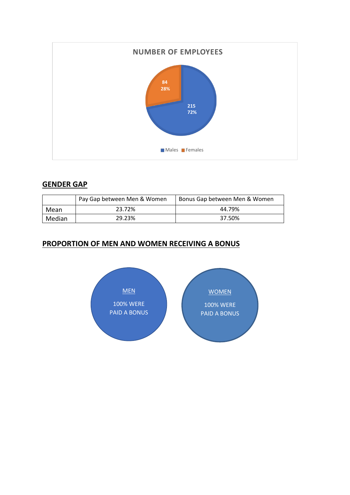

# **GENDER GAP**

|        | Pay Gap between Men & Women | Bonus Gap between Men & Women |
|--------|-----------------------------|-------------------------------|
| Mean   | 23.72%                      | 44.79%                        |
| Median | 29.23%                      | 37.50%                        |

# **PROPORTION OF MEN AND WOMEN RECEIVING A BONUS**

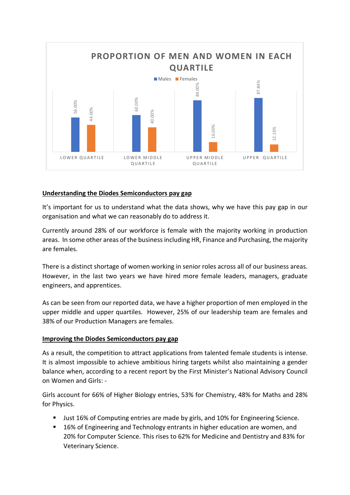

# **Understanding the Diodes Semiconductors pay gap**

It's important for us to understand what the data shows, why we have this pay gap in our organisation and what we can reasonably do to address it.

Currently around 28% of our workforce is female with the majority working in production areas. In some other areas of the business including HR, Finance and Purchasing, the majority are females.

There is a distinct shortage of women working in senior roles across all of our business areas. However, in the last two years we have hired more female leaders, managers, graduate engineers, and apprentices.

As can be seen from our reported data, we have a higher proportion of men employed in the upper middle and upper quartiles. However, 25% of our leadership team are females and 38% of our Production Managers are females.

#### **Improving the Diodes Semiconductors pay gap**

As a result, the competition to attract applications from talented female students is intense. It is almost impossible to achieve ambitious hiring targets whilst also maintaining a gender balance when, according to a recent report by the First Minister's National Advisory Council on Women and Girls: -

Girls account for 66% of Higher Biology entries, 53% for Chemistry, 48% for Maths and 28% for Physics.

- Just 16% of Computing entries are made by girls, and 10% for Engineering Science.
- 16% of Engineering and Technology entrants in higher education are women, and 20% for Computer Science. This rises to 62% for Medicine and Dentistry and 83% for Veterinary Science.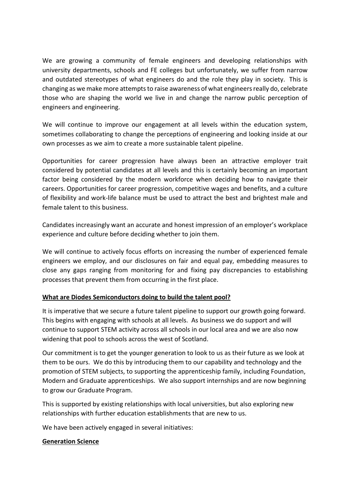We are growing a community of female engineers and developing relationships with university departments, schools and FE colleges but unfortunately, we suffer from narrow and outdated stereotypes of what engineers do and the role they play in society. This is changing as we make more attempts to raise awareness of what engineers really do, celebrate those who are shaping the world we live in and change the narrow public perception of engineers and engineering.

We will continue to improve our engagement at all levels within the education system, sometimes collaborating to change the perceptions of engineering and looking inside at our own processes as we aim to create a more sustainable talent pipeline.

Opportunities for career progression have always been an attractive employer trait considered by potential candidates at all levels and this is certainly becoming an important factor being considered by the modern workforce when deciding how to navigate their careers. Opportunities for career progression, competitive wages and benefits, and a culture of flexibility and work-life balance must be used to attract the best and brightest male and female talent to this business.

Candidates increasingly want an accurate and honest impression of an employer's workplace experience and culture before deciding whether to join them.

We will continue to actively focus efforts on increasing the number of experienced female engineers we employ, and our disclosures on fair and equal pay, embedding measures to close any gaps ranging from monitoring for and fixing pay discrepancies to establishing processes that prevent them from occurring in the first place.

# **What are Diodes Semiconductors doing to build the talent pool?**

It is imperative that we secure a future talent pipeline to support our growth going forward. This begins with engaging with schools at all levels. As business we do support and will continue to support STEM activity across all schools in our local area and we are also now widening that pool to schools across the west of Scotland.

Our commitment is to get the younger generation to look to us as their future as we look at them to be ours. We do this by introducing them to our capability and technology and the promotion of STEM subjects, to supporting the apprenticeship family, including Foundation, Modern and Graduate apprenticeships. We also support internships and are now beginning to grow our Graduate Program.

This is supported by existing relationships with local universities, but also exploring new relationships with further education establishments that are new to us.

We have been actively engaged in several initiatives:

# **Generation Science**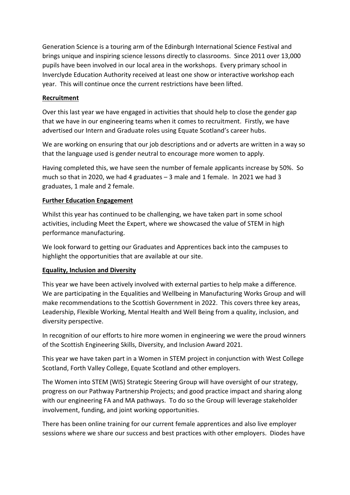Generation Science is a touring arm of the Edinburgh International Science Festival and brings unique and inspiring science lessons directly to classrooms. Since 2011 over 13,000 pupils have been involved in our local area in the workshops. Every primary school in Inverclyde Education Authority received at least one show or interactive workshop each year. This will continue once the current restrictions have been lifted.

# **Recruitment**

Over this last year we have engaged in activities that should help to close the gender gap that we have in our engineering teams when it comes to recruitment. Firstly, we have advertised our Intern and Graduate roles using Equate Scotland's career hubs.

We are working on ensuring that our job descriptions and or adverts are written in a way so that the language used is gender neutral to encourage more women to apply.

Having completed this, we have seen the number of female applicants increase by 50%. So much so that in 2020, we had 4 graduates – 3 male and 1 female. In 2021 we had 3 graduates, 1 male and 2 female.

## **Further Education Engagement**

Whilst this year has continued to be challenging, we have taken part in some school activities, including Meet the Expert, where we showcased the value of STEM in high performance manufacturing.

We look forward to getting our Graduates and Apprentices back into the campuses to highlight the opportunities that are available at our site.

#### **Equality, Inclusion and Diversity**

This year we have been actively involved with external parties to help make a difference. We are participating in the Equalities and Wellbeing in Manufacturing Works Group and will make recommendations to the Scottish Government in 2022. This covers three key areas, Leadership, Flexible Working, Mental Health and Well Being from a quality, inclusion, and diversity perspective.

In recognition of our efforts to hire more women in engineering we were the proud winners of the Scottish Engineering Skills, Diversity, and Inclusion Award 2021.

This year we have taken part in a Women in STEM project in conjunction with West College Scotland, Forth Valley College, Equate Scotland and other employers.

The Women into STEM (WIS) Strategic Steering Group will have oversight of our strategy, progress on our Pathway Partnership Projects; and good practice impact and sharing along with our engineering FA and MA pathways. To do so the Group will leverage stakeholder involvement, funding, and joint working opportunities.

There has been online training for our current female apprentices and also live employer sessions where we share our success and best practices with other employers. Diodes have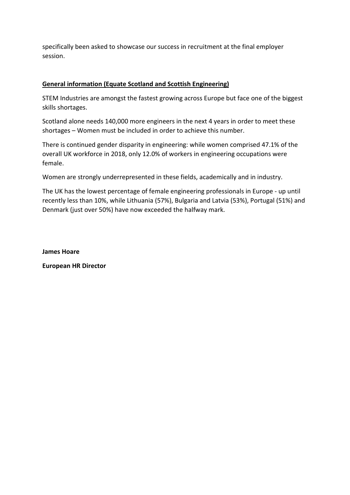specifically been asked to showcase our success in recruitment at the final employer session.

# **General information (Equate Scotland and Scottish Engineering)**

STEM Industries are amongst the fastest growing across Europe but face one of the biggest skills shortages.

Scotland alone needs 140,000 more engineers in the next 4 years in order to meet these shortages – Women must be included in order to achieve this number.

There is continued gender disparity in engineering: while women comprised 47.1% of the overall UK workforce in 2018, only 12.0% of workers in engineering occupations were female.

Women are strongly underrepresented in these fields, academically and in industry.

The UK has the lowest percentage of female engineering professionals in Europe - up until recently less than 10%, while Lithuania (57%), Bulgaria and Latvia (53%), Portugal (51%) and Denmark (just over 50%) have now exceeded the halfway mark.

**James Hoare** 

**European HR Director**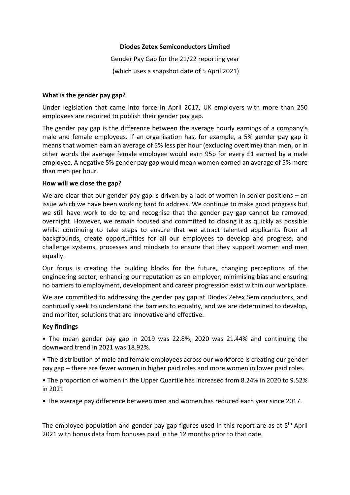#### **Diodes Zetex Semiconductors Limited**

Gender Pay Gap for the 21/22 reporting year (which uses a snapshot date of 5 April 2021)

#### **What is the gender pay gap?**

Under legislation that came into force in April 2017, UK employers with more than 250 employees are required to publish their gender pay gap.

The gender pay gap is the difference between the average hourly earnings of a company's male and female employees. If an organisation has, for example, a 5% gender pay gap it means that women earn an average of 5% less per hour (excluding overtime) than men, or in other words the average female employee would earn 95p for every £1 earned by a male employee. A negative 5% gender pay gap would mean women earned an average of 5% more than men per hour.

## **How will we close the gap?**

We are clear that our gender pay gap is driven by a lack of women in senior positions – an issue which we have been working hard to address. We continue to make good progress but we still have work to do to and recognise that the gender pay gap cannot be removed overnight. However, we remain focused and committed to closing it as quickly as possible whilst continuing to take steps to ensure that we attract talented applicants from all backgrounds, create opportunities for all our employees to develop and progress, and challenge systems, processes and mindsets to ensure that they support women and men equally.

Our focus is creating the building blocks for the future, changing perceptions of the engineering sector, enhancing our reputation as an employer, minimising bias and ensuring no barriers to employment, development and career progression exist within our workplace.

We are committed to addressing the gender pay gap at Diodes Zetex Semiconductors, and continually seek to understand the barriers to equality, and we are determined to develop, and monitor, solutions that are innovative and effective.

#### **Key findings**

• The mean gender pay gap in 2019 was 22.8%, 2020 was 21.44% and continuing the downward trend in 2021 was 18.92%.

• The distribution of male and female employees across our workforce is creating our gender pay gap – there are fewer women in higher paid roles and more women in lower paid roles.

• The proportion of women in the Upper Quartile has increased from 8.24% in 2020 to 9.52% in 2021

• The average pay difference between men and women has reduced each year since 2017.

The employee population and gender pay gap figures used in this report are as at 5<sup>th</sup> April 2021 with bonus data from bonuses paid in the 12 months prior to that date.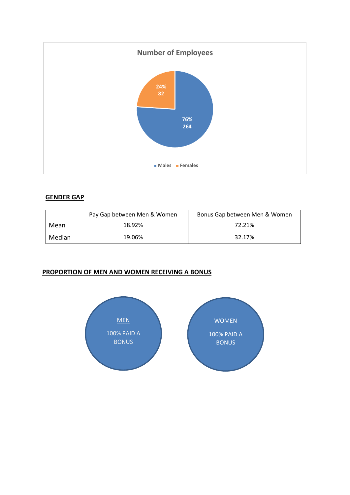

## **GENDER GAP**

|        | Pay Gap between Men & Women | Bonus Gap between Men & Women |
|--------|-----------------------------|-------------------------------|
| Mean   | 18.92%                      | 72.21%                        |
| Median | 19.06%                      | 32.17%                        |

# **PROPORTION OF MEN AND WOMEN RECEIVING A BONUS**

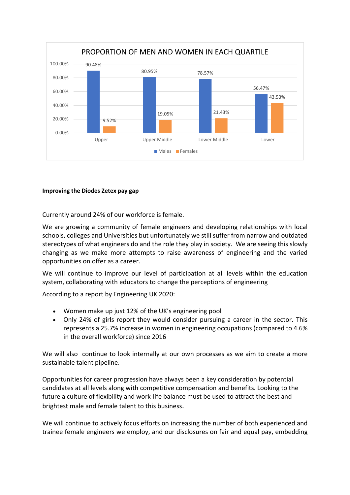

#### **Improving the Diodes Zetex pay gap**

Currently around 24% of our workforce is female.

We are growing a community of female engineers and developing relationships with local schools, colleges and Universities but unfortunately we still suffer from narrow and outdated stereotypes of what engineers do and the role they play in society. We are seeing this slowly changing as we make more attempts to raise awareness of engineering and the varied opportunities on offer as a career.

We will continue to improve our level of participation at all levels within the education system, collaborating with educators to change the perceptions of engineering

According to a report by Engineering UK 2020:

- Women make up just 12% of the UK's engineering pool
- Only 24% of girls report they would consider pursuing a career in the sector. This represents a 25.7% increase in women in engineering occupations (compared to 4.6% in the overall workforce) since 2016

We will also continue to look internally at our own processes as we aim to create a more sustainable talent pipeline.

Opportunities for career progression have always been a key consideration by potential candidates at all levels along with competitive compensation and benefits. Looking to the future a culture of flexibility and work-life balance must be used to attract the best and brightest male and female talent to this business.

We will continue to actively focus efforts on increasing the number of both experienced and trainee female engineers we employ, and our disclosures on fair and equal pay, embedding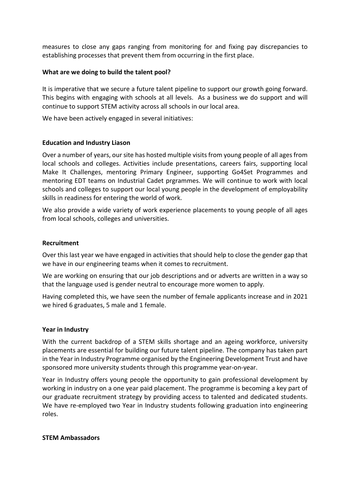measures to close any gaps ranging from monitoring for and fixing pay discrepancies to establishing processes that prevent them from occurring in the first place.

#### **What are we doing to build the talent pool?**

It is imperative that we secure a future talent pipeline to support our growth going forward. This begins with engaging with schools at all levels. As a business we do support and will continue to support STEM activity across all schools in our local area.

We have been actively engaged in several initiatives:

## **Education and Industry Liason**

Over a number of years, our site has hosted multiple visits from young people of all ages from local schools and colleges. Activities include presentations, careers fairs, supporting local Make It Challenges, mentoring Primary Engineer, supporting Go4Set Programmes and mentoring EDT teams on Industrial Cadet prgrammes. We will continue to work with local schools and colleges to support our local young people in the development of employability skills in readiness for entering the world of work.

We also provide a wide variety of work experience placements to young people of all ages from local schools, colleges and universities.

#### **Recruitment**

Over this last year we have engaged in activities that should help to close the gender gap that we have in our engineering teams when it comes to recruitment.

We are working on ensuring that our job descriptions and or adverts are written in a way so that the language used is gender neutral to encourage more women to apply.

Having completed this, we have seen the number of female applicants increase and in 2021 we hired 6 graduates, 5 male and 1 female.

#### **Year in Industry**

With the current backdrop of a STEM skills shortage and an ageing workforce, university placements are essential for building our future talent pipeline. The company has taken part in the Year in Industry Programme organised by the Engineering Development Trust and have sponsored more university students through this programme year-on-year.

Year in Industry offers young people the opportunity to gain professional development by working in industry on a one year paid placement. The programme is becoming a key part of our graduate recruitment strategy by providing access to talented and dedicated students. We have re-employed two Year in Industry students following graduation into engineering roles.

#### **STEM Ambassadors**